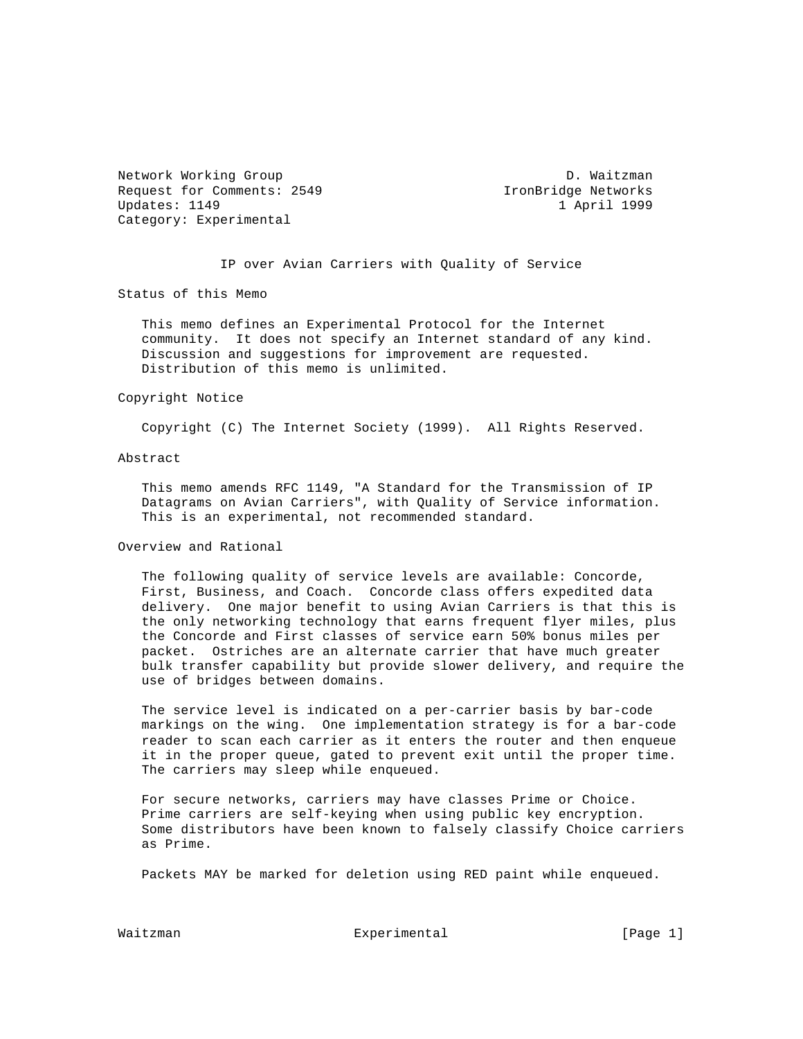Network Working Group D. Waitzman Request for Comments: 2549 IronBridge Networks Updates: 1149 1 April 1999 Category: Experimental

IP over Avian Carriers with Quality of Service

Status of this Memo

 This memo defines an Experimental Protocol for the Internet community. It does not specify an Internet standard of any kind. Discussion and suggestions for improvement are requested. Distribution of this memo is unlimited.

### Copyright Notice

Copyright (C) The Internet Society (1999). All Rights Reserved.

## Abstract

 This memo amends RFC 1149, "A Standard for the Transmission of IP Datagrams on Avian Carriers", with Quality of Service information. This is an experimental, not recommended standard.

## Overview and Rational

 The following quality of service levels are available: Concorde, First, Business, and Coach. Concorde class offers expedited data delivery. One major benefit to using Avian Carriers is that this is the only networking technology that earns frequent flyer miles, plus the Concorde and First classes of service earn 50% bonus miles per packet. Ostriches are an alternate carrier that have much greater bulk transfer capability but provide slower delivery, and require the use of bridges between domains.

 The service level is indicated on a per-carrier basis by bar-code markings on the wing. One implementation strategy is for a bar-code reader to scan each carrier as it enters the router and then enqueue it in the proper queue, gated to prevent exit until the proper time. The carriers may sleep while enqueued.

 For secure networks, carriers may have classes Prime or Choice. Prime carriers are self-keying when using public key encryption. Some distributors have been known to falsely classify Choice carriers as Prime.

Packets MAY be marked for deletion using RED paint while enqueued.

Waitzman **Experimental** Experimental [Page 1]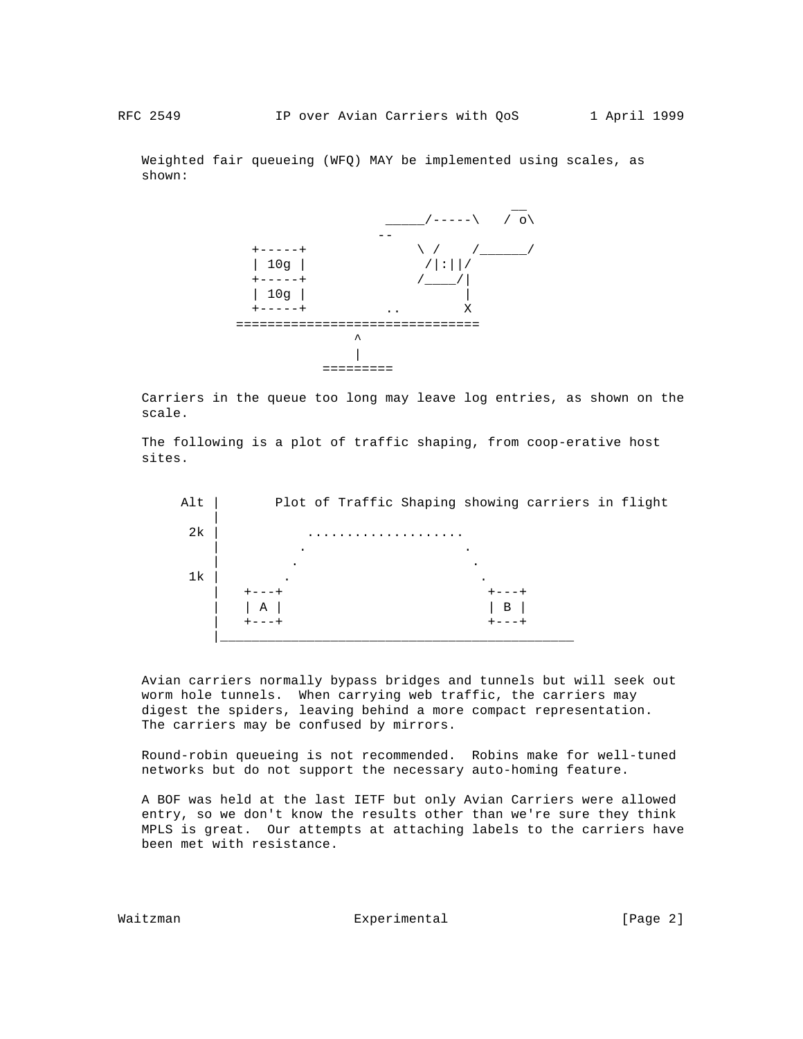Weighted fair queueing (WFQ) MAY be implemented using scales, as shown:



 Carriers in the queue too long may leave log entries, as shown on the scale.

 The following is a plot of traffic shaping, from coop-erative host sites.



 Avian carriers normally bypass bridges and tunnels but will seek out worm hole tunnels. When carrying web traffic, the carriers may digest the spiders, leaving behind a more compact representation. The carriers may be confused by mirrors.

 Round-robin queueing is not recommended. Robins make for well-tuned networks but do not support the necessary auto-homing feature.

 A BOF was held at the last IETF but only Avian Carriers were allowed entry, so we don't know the results other than we're sure they think MPLS is great. Our attempts at attaching labels to the carriers have been met with resistance.

Waitzman **Experimental** Experimental [Page 2]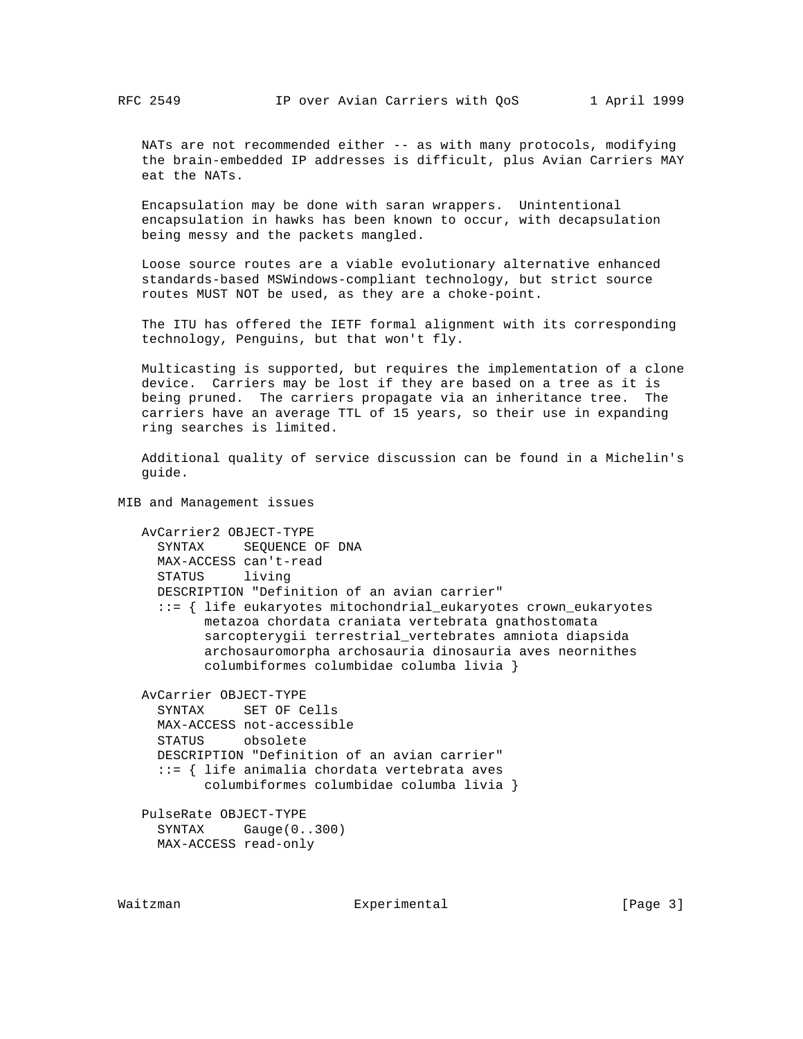NATs are not recommended either -- as with many protocols, modifying the brain-embedded IP addresses is difficult, plus Avian Carriers MAY eat the NATs.

 Encapsulation may be done with saran wrappers. Unintentional encapsulation in hawks has been known to occur, with decapsulation being messy and the packets mangled.

 Loose source routes are a viable evolutionary alternative enhanced standards-based MSWindows-compliant technology, but strict source routes MUST NOT be used, as they are a choke-point.

 The ITU has offered the IETF formal alignment with its corresponding technology, Penguins, but that won't fly.

 Multicasting is supported, but requires the implementation of a clone device. Carriers may be lost if they are based on a tree as it is being pruned. The carriers propagate via an inheritance tree. The carriers have an average TTL of 15 years, so their use in expanding ring searches is limited.

 Additional quality of service discussion can be found in a Michelin's guide.

MIB and Management issues

```
 AvCarrier2 OBJECT-TYPE
  SYNTAX SEQUENCE OF DNA
 MAX-ACCESS can't-read
 STATUS living
 DESCRIPTION "Definition of an avian carrier"
  ::= { life eukaryotes mitochondrial_eukaryotes crown_eukaryotes
       metazoa chordata craniata vertebrata gnathostomata
        sarcopterygii terrestrial_vertebrates amniota diapsida
        archosauromorpha archosauria dinosauria aves neornithes
        columbiformes columbidae columba livia }
AvCarrier OBJECT-TYPE
 SYNTAX SET OF Cells
 MAX-ACCESS not-accessible
  STATUS obsolete
 DESCRIPTION "Definition of an avian carrier"
  ::= { life animalia chordata vertebrata aves
        columbiformes columbidae columba livia }
PulseRate OBJECT-TYPE
 SYNTAX Gauge(0..300)
```

```
 MAX-ACCESS read-only
```
Waitzman **Experimental** Experimental [Page 3]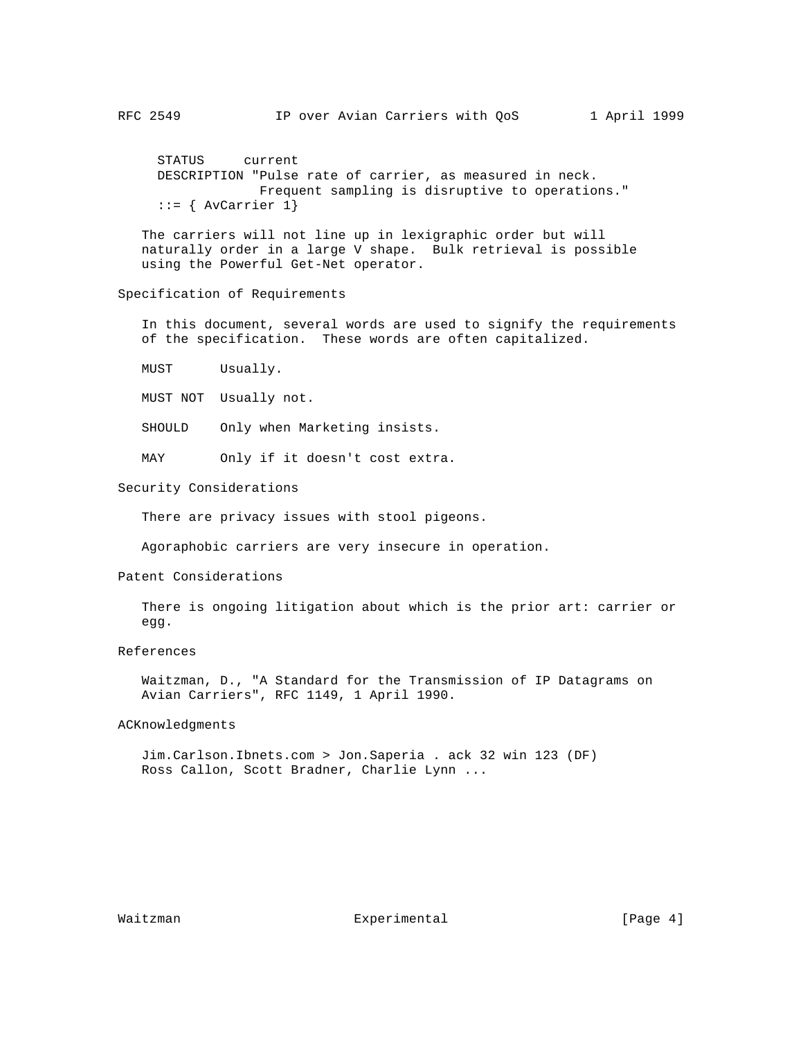STATUS current DESCRIPTION "Pulse rate of carrier, as measured in neck. Frequent sampling is disruptive to operations." ::= { AvCarrier 1}

 The carriers will not line up in lexigraphic order but will naturally order in a large V shape. Bulk retrieval is possible using the Powerful Get-Net operator.

# Specification of Requirements

 In this document, several words are used to signify the requirements of the specification. These words are often capitalized.

MUST Usually.

MUST NOT Usually not.

SHOULD Only when Marketing insists.

MAY Only if it doesn't cost extra.

#### Security Considerations

There are privacy issues with stool pigeons.

Agoraphobic carriers are very insecure in operation.

## Patent Considerations

 There is ongoing litigation about which is the prior art: carrier or egg.

### References

 Waitzman, D., "A Standard for the Transmission of IP Datagrams on Avian Carriers", RFC 1149, 1 April 1990.

# ACKnowledgments

 Jim.Carlson.Ibnets.com > Jon.Saperia . ack 32 win 123 (DF) Ross Callon, Scott Bradner, Charlie Lynn ...

Waitzman **Experimental** Experimental [Page 4]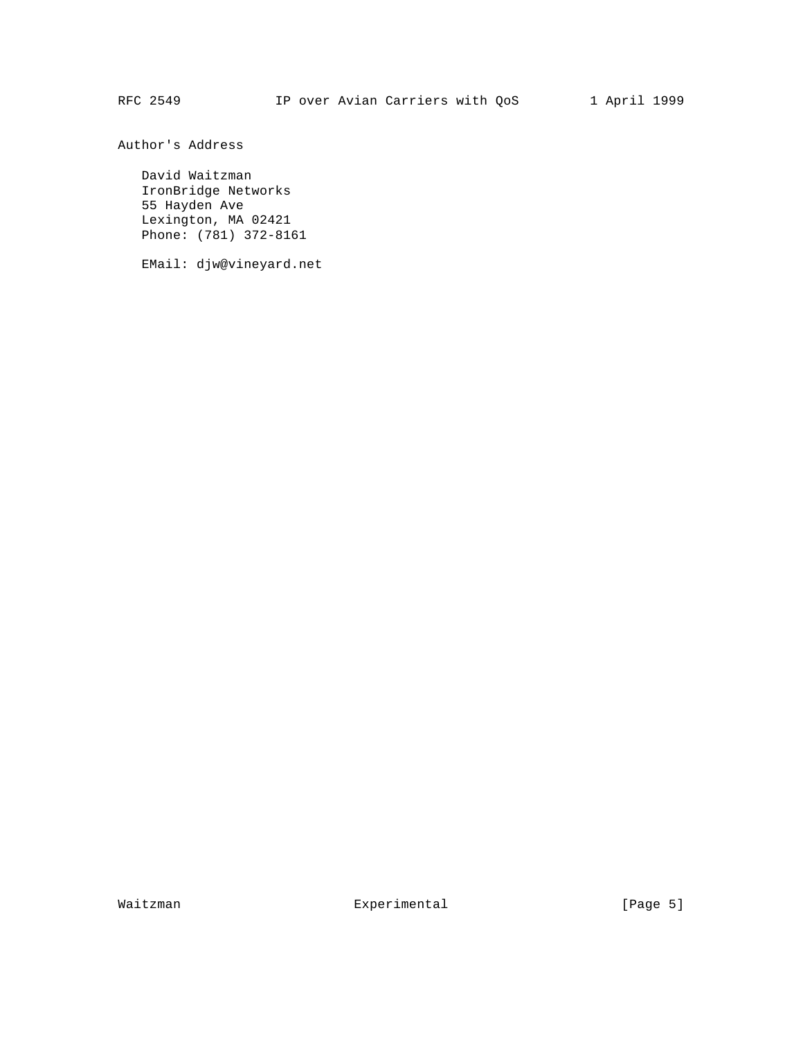Author's Address

 David Waitzman IronBridge Networks 55 Hayden Ave Lexington, MA 02421 Phone: (781) 372-8161

EMail: djw@vineyard.net